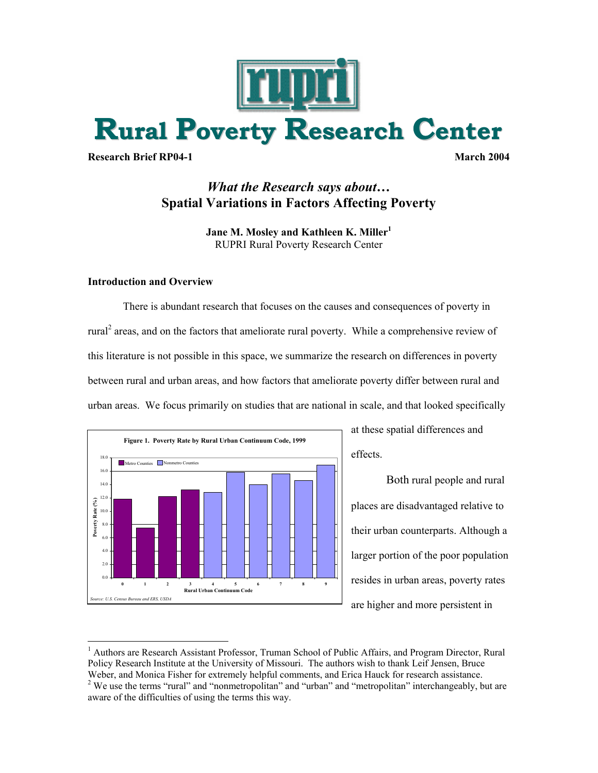

**Research Brief RP04-1** March 2004

# *What the Research says about…*  **Spatial Variations in Factors Affecting Poverty**

**Jane M. Mosley and Kathleen K. Miller**<sup>1</sup> RUPRI Rural Poverty Research Center

## **Introduction and Overview**

 $\overline{a}$ 

There is abundant research that focuses on the causes and consequences of poverty in rural<sup>2</sup> areas, and on the factors that ameliorate rural poverty. While a comprehensive review of this literature is not possible in this space, we summarize the research on differences in poverty between rural and urban areas, and how factors that ameliorate poverty differ between rural and urban areas. We focus primarily on studies that are national in scale, and that looked specifically



at these spatial differences and effects.

Both rural people and rural places are disadvantaged relative to their urban counterparts. Although a larger portion of the poor population resides in urban areas, poverty rates are higher and more persistent in

<sup>&</sup>lt;sup>1</sup> Authors are Research Assistant Professor, Truman School of Public Affairs, and Program Director, Rural Policy Research Institute at the University of Missouri. The authors wish to thank Leif Jensen, Bruce Weber, and Monica Fisher for extremely helpful comments, and Erica Hauck for research assistance. 2 <sup>2</sup> We use the terms "rural" and "nonmetropolitan" and "urban" and "metropolitan" interchangeably, but are aware of the difficulties of using the terms this way.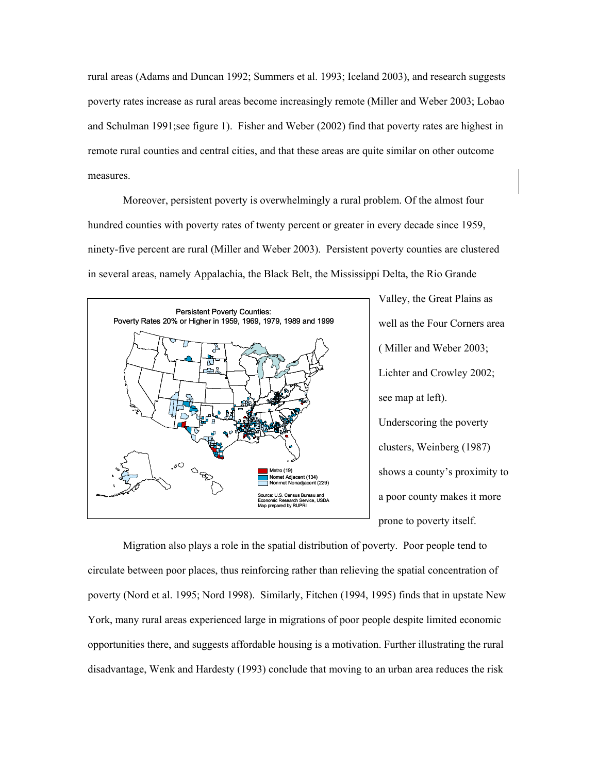rural areas (Adams and Duncan 1992; Summers et al. 1993; Iceland 2003), and research suggests poverty rates increase as rural areas become increasingly remote (Miller and Weber 2003; Lobao and Schulman 1991;see figure 1). Fisher and Weber (2002) find that poverty rates are highest in remote rural counties and central cities, and that these areas are quite similar on other outcome measures.

Moreover, persistent poverty is overwhelmingly a rural problem. Of the almost four hundred counties with poverty rates of twenty percent or greater in every decade since 1959, ninety-five percent are rural (Miller and Weber 2003). Persistent poverty counties are clustered in several areas, namely Appalachia, the Black Belt, the Mississippi Delta, the Rio Grande



Valley, the Great Plains as well as the Four Corners area ( Miller and Weber 2003; Lichter and Crowley 2002; see map at left). Underscoring the poverty clusters, Weinberg (1987) shows a county's proximity to a poor county makes it more prone to poverty itself.

Migration also plays a role in the spatial distribution of poverty. Poor people tend to circulate between poor places, thus reinforcing rather than relieving the spatial concentration of poverty (Nord et al. 1995; Nord 1998). Similarly, Fitchen (1994, 1995) finds that in upstate New York, many rural areas experienced large in migrations of poor people despite limited economic opportunities there, and suggests affordable housing is a motivation. Further illustrating the rural disadvantage, Wenk and Hardesty (1993) conclude that moving to an urban area reduces the risk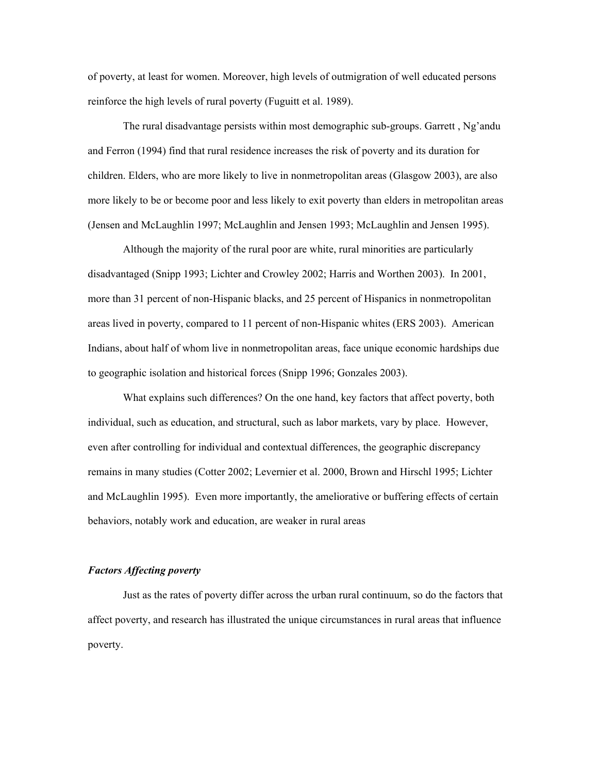of poverty, at least for women. Moreover, high levels of outmigration of well educated persons reinforce the high levels of rural poverty (Fuguitt et al. 1989).

The rural disadvantage persists within most demographic sub-groups. Garrett , Ng'andu and Ferron (1994) find that rural residence increases the risk of poverty and its duration for children. Elders, who are more likely to live in nonmetropolitan areas (Glasgow 2003), are also more likely to be or become poor and less likely to exit poverty than elders in metropolitan areas (Jensen and McLaughlin 1997; McLaughlin and Jensen 1993; McLaughlin and Jensen 1995).

Although the majority of the rural poor are white, rural minorities are particularly disadvantaged (Snipp 1993; Lichter and Crowley 2002; Harris and Worthen 2003). In 2001, more than 31 percent of non-Hispanic blacks, and 25 percent of Hispanics in nonmetropolitan areas lived in poverty, compared to 11 percent of non-Hispanic whites (ERS 2003). American Indians, about half of whom live in nonmetropolitan areas, face unique economic hardships due to geographic isolation and historical forces (Snipp 1996; Gonzales 2003).

What explains such differences? On the one hand, key factors that affect poverty, both individual, such as education, and structural, such as labor markets, vary by place. However, even after controlling for individual and contextual differences, the geographic discrepancy remains in many studies (Cotter 2002; Levernier et al. 2000, Brown and Hirschl 1995; Lichter and McLaughlin 1995). Even more importantly, the ameliorative or buffering effects of certain behaviors, notably work and education, are weaker in rural areas

#### *Factors Affecting poverty*

 Just as the rates of poverty differ across the urban rural continuum, so do the factors that affect poverty, and research has illustrated the unique circumstances in rural areas that influence poverty.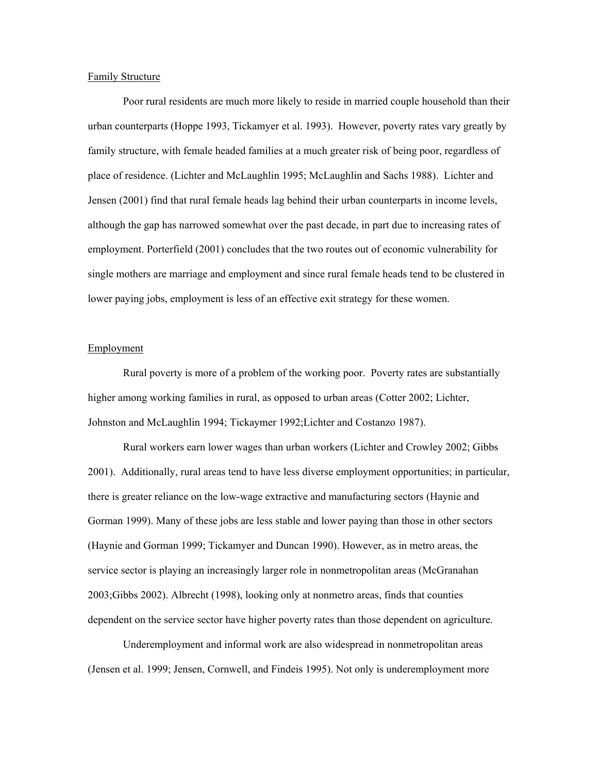#### Family Structure

Poor rural residents are much more likely to reside in married couple household than their urban counterparts (Hoppe 1993, Tickamyer et al. 1993). However, poverty rates vary greatly by family structure, with female headed families at a much greater risk of being poor, regardless of place of residence. (Lichter and McLaughlin 1995; McLaughlin and Sachs 1988). Lichter and Jensen (2001) find that rural female heads lag behind their urban counterparts in income levels, although the gap has narrowed somewhat over the past decade, in part due to increasing rates of employment. Porterfield (2001) concludes that the two routes out of economic vulnerability for single mothers are marriage and employment and since rural female heads tend to be clustered in lower paying jobs, employment is less of an effective exit strategy for these women.

#### **Employment**

Rural poverty is more of a problem of the working poor. Poverty rates are substantially higher among working families in rural, as opposed to urban areas (Cotter 2002; Lichter, Johnston and McLaughlin 1994; Tickaymer 1992;Lichter and Costanzo 1987).

Rural workers earn lower wages than urban workers (Lichter and Crowley 2002; Gibbs 2001). Additionally, rural areas tend to have less diverse employment opportunities; in particular, there is greater reliance on the low-wage extractive and manufacturing sectors (Haynie and Gorman 1999). Many of these jobs are less stable and lower paying than those in other sectors (Haynie and Gorman 1999; Tickamyer and Duncan 1990). However, as in metro areas, the service sector is playing an increasingly larger role in nonmetropolitan areas (McGranahan 2003;Gibbs 2002). Albrecht (1998), looking only at nonmetro areas, finds that counties dependent on the service sector have higher poverty rates than those dependent on agriculture.

Underemployment and informal work are also widespread in nonmetropolitan areas (Jensen et al. 1999; Jensen, Cornwell, and Findeis 1995). Not only is underemployment more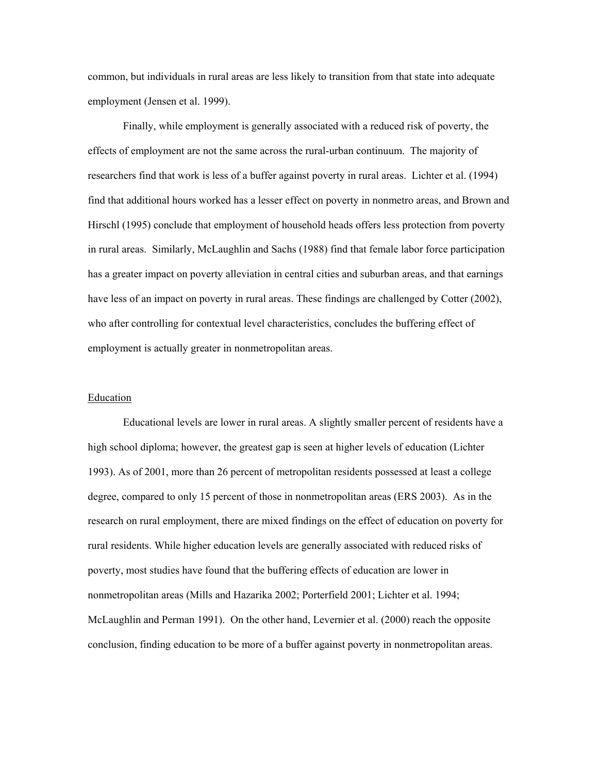common, but individuals in rural areas are less likely to transition from that state into adequate employment (Jensen et al. 1999).

Finally, while employment is generally associated with a reduced risk of poverty, the effects of employment are not the same across the rural-urban continuum. The majority of researchers find that work is less of a buffer against poverty in rural areas. Lichter et al. (1994) find that additional hours worked has a lesser effect on poverty in nonmetro areas, and Brown and Hirschl (1995) conclude that employment of household heads offers less protection from poverty in rural areas. Similarly, McLaughlin and Sachs (1988) find that female labor force participation has a greater impact on poverty alleviation in central cities and suburban areas, and that earnings have less of an impact on poverty in rural areas. These findings are challenged by Cotter (2002), who after controlling for contextual level characteristics, concludes the buffering effect of employment is actually greater in nonmetropolitan areas.

### **Education**

 Educational levels are lower in rural areas. A slightly smaller percent of residents have a high school diploma; however, the greatest gap is seen at higher levels of education (Lichter 1993). As of 2001, more than 26 percent of metropolitan residents possessed at least a college degree, compared to only 15 percent of those in nonmetropolitan areas (ERS 2003). As in the research on rural employment, there are mixed findings on the effect of education on poverty for rural residents. While higher education levels are generally associated with reduced risks of poverty, most studies have found that the buffering effects of education are lower in nonmetropolitan areas (Mills and Hazarika 2002; Porterfield 2001; Lichter et al. 1994; McLaughlin and Perman 1991). On the other hand, Levernier et al. (2000) reach the opposite conclusion, finding education to be more of a buffer against poverty in nonmetropolitan areas.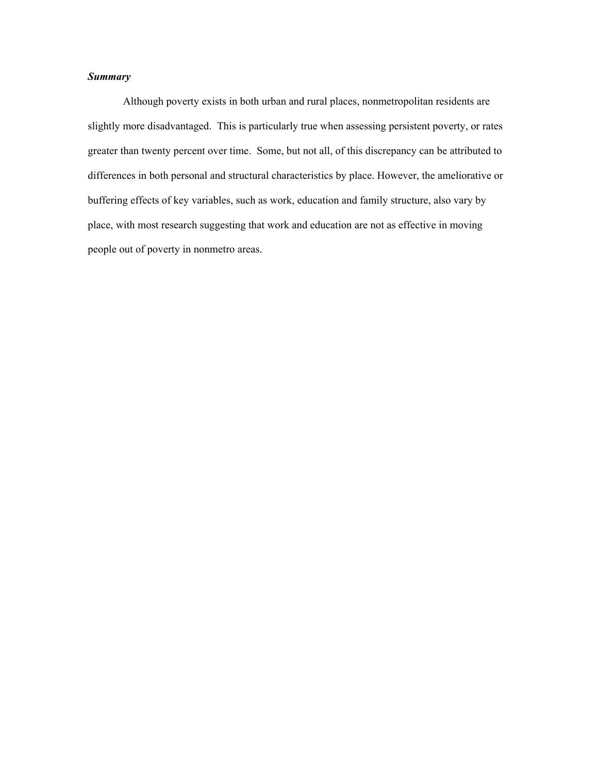# *Summary*

Although poverty exists in both urban and rural places, nonmetropolitan residents are slightly more disadvantaged. This is particularly true when assessing persistent poverty, or rates greater than twenty percent over time. Some, but not all, of this discrepancy can be attributed to differences in both personal and structural characteristics by place. However, the ameliorative or buffering effects of key variables, such as work, education and family structure, also vary by place, with most research suggesting that work and education are not as effective in moving people out of poverty in nonmetro areas.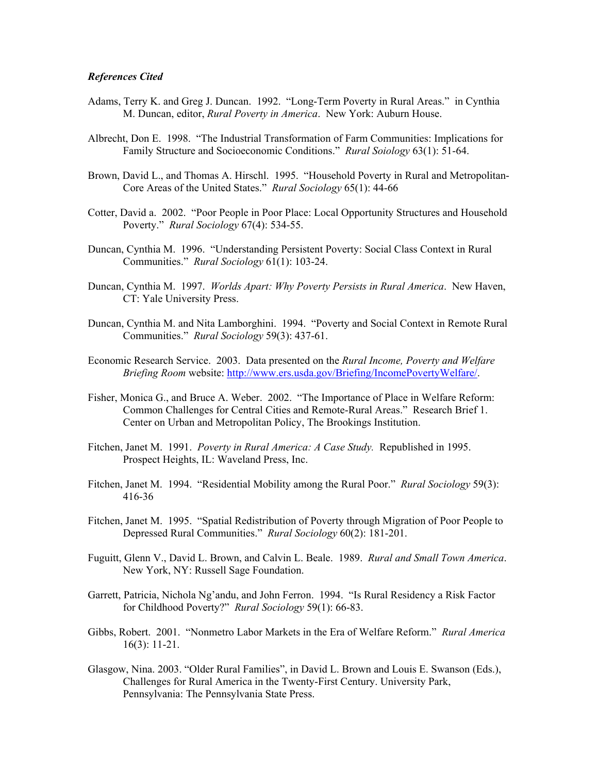#### *References Cited*

- Adams, Terry K. and Greg J. Duncan. 1992. "Long-Term Poverty in Rural Areas." in Cynthia M. Duncan, editor, *Rural Poverty in America*. New York: Auburn House.
- Albrecht, Don E. 1998. "The Industrial Transformation of Farm Communities: Implications for Family Structure and Socioeconomic Conditions." *Rural Soiology* 63(1): 51-64.
- Brown, David L., and Thomas A. Hirschl. 1995. "Household Poverty in Rural and Metropolitan-Core Areas of the United States." *Rural Sociology* 65(1): 44-66
- Cotter, David a. 2002. "Poor People in Poor Place: Local Opportunity Structures and Household Poverty." *Rural Sociology* 67(4): 534-55.
- Duncan, Cynthia M. 1996. "Understanding Persistent Poverty: Social Class Context in Rural Communities." *Rural Sociology* 61(1): 103-24.
- Duncan, Cynthia M. 1997. *Worlds Apart: Why Poverty Persists in Rural America*. New Haven, CT: Yale University Press.
- Duncan, Cynthia M. and Nita Lamborghini. 1994. "Poverty and Social Context in Remote Rural Communities." *Rural Sociology* 59(3): 437-61.
- Economic Research Service. 2003. Data presented on the *Rural Income, Poverty and Welfare Briefing Room* website: http://www.ers.usda.gov/Briefing/IncomePovertyWelfare/.
- Fisher, Monica G., and Bruce A. Weber. 2002. "The Importance of Place in Welfare Reform: Common Challenges for Central Cities and Remote-Rural Areas." Research Brief 1. Center on Urban and Metropolitan Policy, The Brookings Institution.
- Fitchen, Janet M. 1991. *Poverty in Rural America: A Case Study.* Republished in 1995. Prospect Heights, IL: Waveland Press, Inc.
- Fitchen, Janet M. 1994. "Residential Mobility among the Rural Poor." *Rural Sociology* 59(3): 416-36
- Fitchen, Janet M. 1995. "Spatial Redistribution of Poverty through Migration of Poor People to Depressed Rural Communities." *Rural Sociology* 60(2): 181-201.
- Fuguitt, Glenn V., David L. Brown, and Calvin L. Beale. 1989. *Rural and Small Town America*. New York, NY: Russell Sage Foundation.
- Garrett, Patricia, Nichola Ng'andu, and John Ferron. 1994. "Is Rural Residency a Risk Factor for Childhood Poverty?" *Rural Sociology* 59(1): 66-83.
- Gibbs, Robert. 2001. "Nonmetro Labor Markets in the Era of Welfare Reform." *Rural America* 16(3): 11-21.
- Glasgow, Nina. 2003. "Older Rural Families", in David L. Brown and Louis E. Swanson (Eds.), Challenges for Rural America in the Twenty-First Century. University Park, Pennsylvania: The Pennsylvania State Press.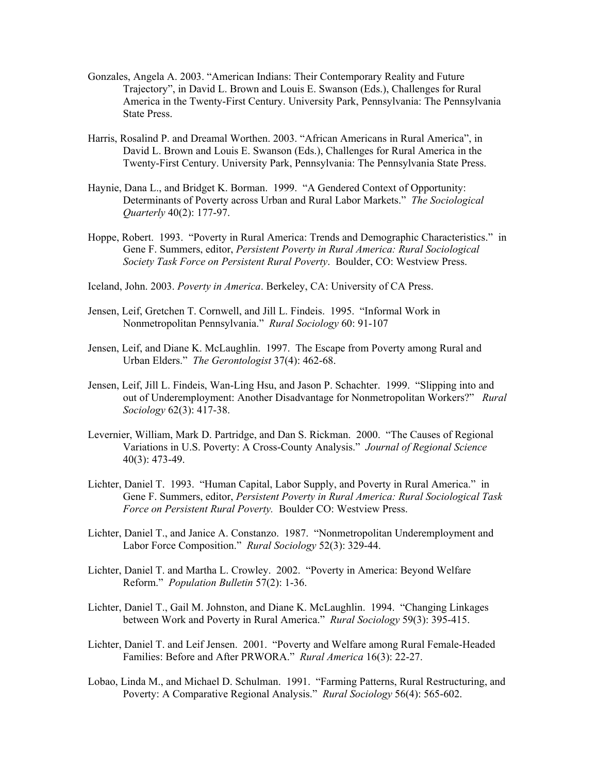- Gonzales, Angela A. 2003. "American Indians: Their Contemporary Reality and Future Trajectory", in David L. Brown and Louis E. Swanson (Eds.), Challenges for Rural America in the Twenty-First Century. University Park, Pennsylvania: The Pennsylvania State Press.
- Harris, Rosalind P. and Dreamal Worthen. 2003. "African Americans in Rural America", in David L. Brown and Louis E. Swanson (Eds.), Challenges for Rural America in the Twenty-First Century. University Park, Pennsylvania: The Pennsylvania State Press.
- Haynie, Dana L., and Bridget K. Borman. 1999. "A Gendered Context of Opportunity: Determinants of Poverty across Urban and Rural Labor Markets." *The Sociological Quarterly* 40(2): 177-97.
- Hoppe, Robert. 1993. "Poverty in Rural America: Trends and Demographic Characteristics." in Gene F. Summers, editor, *Persistent Poverty in Rural America: Rural Sociological Society Task Force on Persistent Rural Poverty*. Boulder, CO: Westview Press.
- Iceland, John. 2003. *Poverty in America*. Berkeley, CA: University of CA Press.
- Jensen, Leif, Gretchen T. Cornwell, and Jill L. Findeis. 1995. "Informal Work in Nonmetropolitan Pennsylvania." *Rural Sociology* 60: 91-107
- Jensen, Leif, and Diane K. McLaughlin. 1997. The Escape from Poverty among Rural and Urban Elders." *The Gerontologist* 37(4): 462-68.
- Jensen, Leif, Jill L. Findeis, Wan-Ling Hsu, and Jason P. Schachter. 1999. "Slipping into and out of Underemployment: Another Disadvantage for Nonmetropolitan Workers?" *Rural Sociology* 62(3): 417-38.
- Levernier, William, Mark D. Partridge, and Dan S. Rickman. 2000. "The Causes of Regional Variations in U.S. Poverty: A Cross-County Analysis." *Journal of Regional Science*  40(3): 473-49.
- Lichter, Daniel T. 1993. "Human Capital, Labor Supply, and Poverty in Rural America." in Gene F. Summers, editor, *Persistent Poverty in Rural America: Rural Sociological Task Force on Persistent Rural Poverty.* Boulder CO: Westview Press.
- Lichter, Daniel T., and Janice A. Constanzo. 1987. "Nonmetropolitan Underemployment and Labor Force Composition." *Rural Sociology* 52(3): 329-44.
- Lichter, Daniel T. and Martha L. Crowley. 2002. "Poverty in America: Beyond Welfare Reform." *Population Bulletin* 57(2): 1-36.
- Lichter, Daniel T., Gail M. Johnston, and Diane K. McLaughlin. 1994. "Changing Linkages between Work and Poverty in Rural America." *Rural Sociology* 59(3): 395-415.
- Lichter, Daniel T. and Leif Jensen. 2001. "Poverty and Welfare among Rural Female-Headed Families: Before and After PRWORA." *Rural America* 16(3): 22-27.
- Lobao, Linda M., and Michael D. Schulman. 1991. "Farming Patterns, Rural Restructuring, and Poverty: A Comparative Regional Analysis." *Rural Sociology* 56(4): 565-602.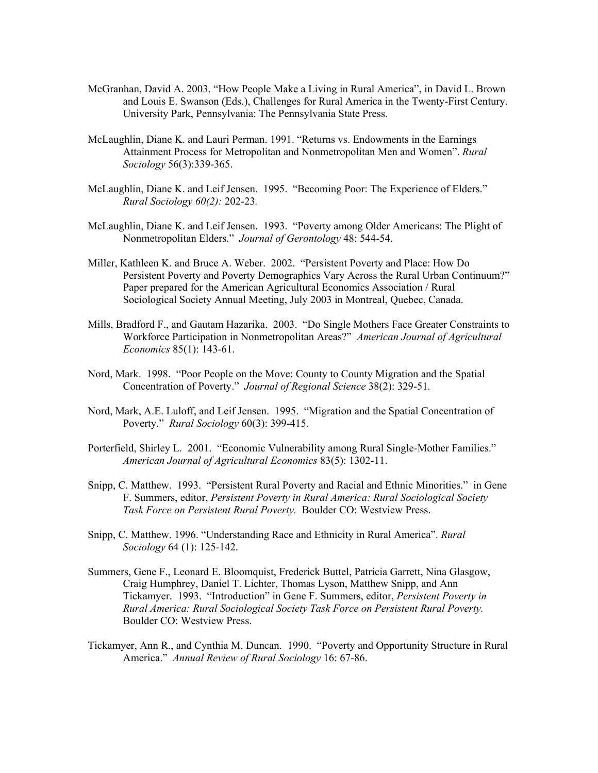- McGranhan, David A. 2003. "How People Make a Living in Rural America", in David L. Brown and Louis E. Swanson (Eds.), Challenges for Rural America in the Twenty-First Century. University Park, Pennsylvania: The Pennsylvania State Press.
- McLaughlin, Diane K. and Lauri Perman. 1991. "Returns vs. Endowments in the Earnings Attainment Process for Metropolitan and Nonmetropolitan Men and Women". *Rural Sociology* 56(3):339-365.
- McLaughlin, Diane K. and Leif Jensen. 1995. "Becoming Poor: The Experience of Elders." *Rural Sociology 60(2):* 202-23*.*
- McLaughlin, Diane K. and Leif Jensen. 1993. "Poverty among Older Americans: The Plight of Nonmetropolitan Elders." *Journal of Gerontology* 48: 544-54.
- Miller, Kathleen K. and Bruce A. Weber. 2002. "Persistent Poverty and Place: How Do Persistent Poverty and Poverty Demographics Vary Across the Rural Urban Continuum?" Paper prepared for the American Agricultural Economics Association / Rural Sociological Society Annual Meeting, July 2003 in Montreal, Quebec, Canada.
- Mills, Bradford F., and Gautam Hazarika. 2003. "Do Single Mothers Face Greater Constraints to Workforce Participation in Nonmetropolitan Areas?" *American Journal of Agricultural Economics* 85(1): 143-61.
- Nord, Mark. 1998. "Poor People on the Move: County to County Migration and the Spatial Concentration of Poverty." *Journal of Regional Science* 38(2): 329-51*.*
- Nord, Mark, A.E. Luloff, and Leif Jensen. 1995. "Migration and the Spatial Concentration of Poverty." *Rural Sociology* 60(3): 399-415.
- Porterfield, Shirley L. 2001. "Economic Vulnerability among Rural Single-Mother Families." *American Journal of Agricultural Economics* 83(5): 1302-11.
- Snipp, C. Matthew. 1993. "Persistent Rural Poverty and Racial and Ethnic Minorities." in Gene F. Summers, editor, *Persistent Poverty in Rural America: Rural Sociological Society Task Force on Persistent Rural Poverty.* Boulder CO: Westview Press.
- Snipp, C. Matthew. 1996. "Understanding Race and Ethnicity in Rural America". *Rural Sociology* 64 (1): 125-142.
- Summers, Gene F., Leonard E. Bloomquist, Frederick Buttel, Patricia Garrett, Nina Glasgow, Craig Humphrey, Daniel T. Lichter, Thomas Lyson, Matthew Snipp, and Ann Tickamyer. 1993. "Introduction" in Gene F. Summers, editor, *Persistent Poverty in Rural America: Rural Sociological Society Task Force on Persistent Rural Poverty.* Boulder CO: Westview Press.
- Tickamyer, Ann R., and Cynthia M. Duncan. 1990. "Poverty and Opportunity Structure in Rural America." *Annual Review of Rural Sociology* 16: 67-86.